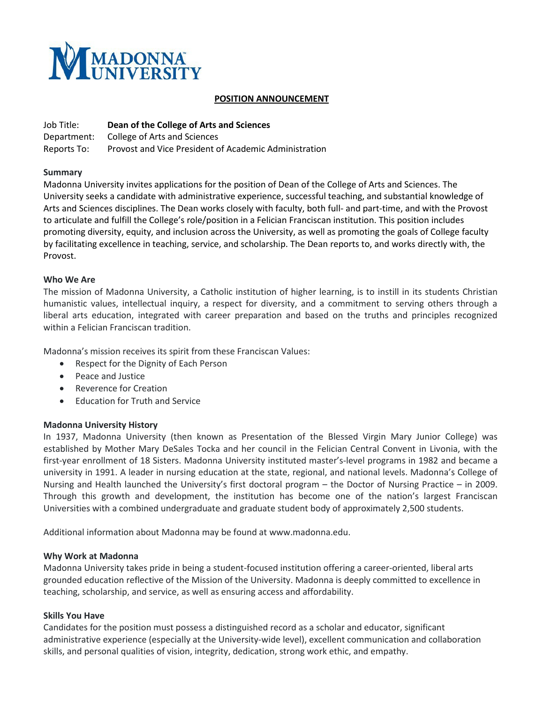

#### **POSITION ANNOUNCEMENT**

Job Title: **Dean of the College of Arts and Sciences** Department: College of Arts and Sciences Reports To: Provost and Vice President of Academic Administration

#### **Summary**

Madonna University invites applications for the position of Dean of the College of Arts and Sciences. The University seeks a candidate with administrative experience, successful teaching, and substantial knowledge of Arts and Sciences disciplines. The Dean works closely with faculty, both full- and part-time, and with the Provost to articulate and fulfill the College's role/position in a Felician Franciscan institution. This position includes promoting diversity, equity, and inclusion across the University, as well as promoting the goals of College faculty by facilitating excellence in teaching, service, and scholarship. The Dean reports to, and works directly with, the Provost.

#### **Who We Are**

The mission of Madonna University, a Catholic institution of higher learning, is to instill in its students Christian humanistic values, intellectual inquiry, a respect for diversity, and a commitment to serving others through a liberal arts education, integrated with career preparation and based on the truths and principles recognized within a Felician Franciscan tradition.

Madonna's mission receives its spirit from these Franciscan Values:

- Respect for the Dignity of Each Person
- Peace and Justice
- Reverence for Creation
- Education for Truth and Service

## **Madonna University History**

In 1937, Madonna University (then known as Presentation of the Blessed Virgin Mary Junior College) was established by Mother Mary DeSales Tocka and her council in the Felician Central Convent in Livonia, with the first-year enrollment of 18 Sisters. Madonna University instituted master's-level programs in 1982 and became a university in 1991. A leader in nursing education at the state, regional, and national levels. Madonna's College of Nursing and Health launched the University's first doctoral program – the Doctor of Nursing Practice – in 2009. Through this growth and development, the institution has become one of the nation's largest Franciscan Universities with a combined undergraduate and graduate student body of approximately 2,500 students.

Additional information about Madonna may be found at www.madonna.edu.

#### **Why Work at Madonna**

Madonna University takes pride in being a student-focused institution offering a career-oriented, liberal arts grounded education reflective of the Mission of the University. Madonna is deeply committed to excellence in teaching, scholarship, and service, as well as ensuring access and affordability.

## **Skills You Have**

Candidates for the position must possess a distinguished record as a scholar and educator, significant administrative experience (especially at the University-wide level), excellent communication and collaboration skills, and personal qualities of vision, integrity, dedication, strong work ethic, and empathy.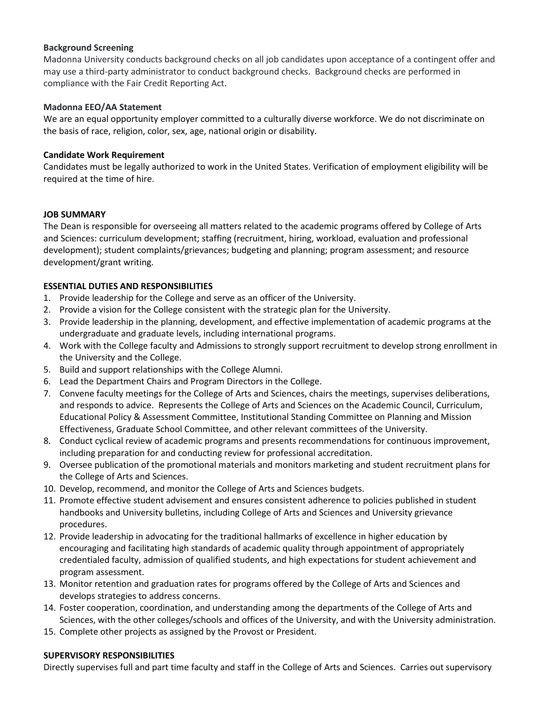## **Background Screening**

Madonna University conducts background checks on all job candidates upon acceptance of a contingent offer and may use a third-party administrator to conduct background checks. Background checks are performed in compliance with the Fair Credit Reporting Act.

## **Madonna EEO/AA Statement**

We are an equal opportunity employer committed to a culturally diverse workforce. We do not discriminate on the basis of race, religion, color, sex, age, national origin or disability.

## **Candidate Work Requirement**

Candidates must be legally authorized to work in the United States. Verification of employment eligibility will be required at the time of hire.

# **JOB SUMMARY**

The Dean is responsible for overseeing all matters related to the academic programs offered by College of Arts and Sciences: curriculum development; staffing (recruitment, hiring, workload, evaluation and professional development); student complaints/grievances; budgeting and planning; program assessment; and resource development/grant writing.

# **ESSENTIAL DUTIES AND RESPONSIBILITIES**

- 1. Provide leadership for the College and serve as an officer of the University.
- 2. Provide a vision for the College consistent with the strategic plan for the University.
- 3. Provide leadership in the planning, development, and effective implementation of academic programs at the undergraduate and graduate levels, including international programs.
- 4. Work with the College faculty and Admissions to strongly support recruitment to develop strong enrollment in the University and the College.
- 5. Build and support relationships with the College Alumni.
- 6. Lead the Department Chairs and Program Directors in the College.
- 7. Convene faculty meetings for the College of Arts and Sciences, chairs the meetings, supervises deliberations, and responds to advice. Represents the College of Arts and Sciences on the Academic Council, Curriculum, Educational Policy & Assessment Committee, Institutional Standing Committee on Planning and Mission Effectiveness, Graduate School Committee, and other relevant committees of the University.
- 8. Conduct cyclical review of academic programs and presents recommendations for continuous improvement, including preparation for and conducting review for professional accreditation.
- 9. Oversee publication of the promotional materials and monitors marketing and student recruitment plans for the College of Arts and Sciences.
- 10. Develop, recommend, and monitor the College of Arts and Sciences budgets.
- 11. Promote effective student advisement and ensures consistent adherence to policies published in student handbooks and University bulletins, including College of Arts and Sciences and University grievance procedures.
- 12. Provide leadership in advocating for the traditional hallmarks of excellence in higher education by encouraging and facilitating high standards of academic quality through appointment of appropriately credentialed faculty, admission of qualified students, and high expectations for student achievement and program assessment.
- 13. Monitor retention and graduation rates for programs offered by the College of Arts and Sciences and develops strategies to address concerns.
- 14. Foster cooperation, coordination, and understanding among the departments of the College of Arts and Sciences, with the other colleges/schools and offices of the University, and with the University administration.
- 15. Complete other projects as assigned by the Provost or President.

## **SUPERVISORY RESPONSIBILITIES**

Directly supervises full and part time faculty and staff in the College of Arts and Sciences. Carries out supervisory